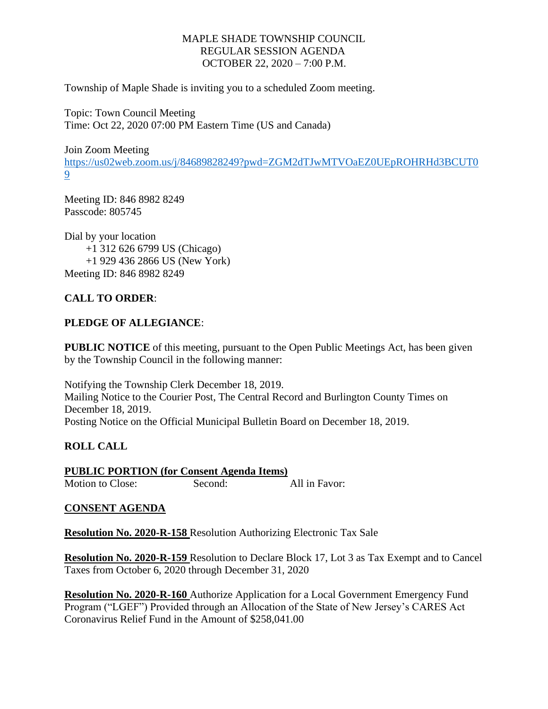#### MAPLE SHADE TOWNSHIP COUNCIL REGULAR SESSION AGENDA OCTOBER 22, 2020 – 7:00 P.M.

Township of Maple Shade is inviting you to a scheduled Zoom meeting.

Topic: Town Council Meeting Time: Oct 22, 2020 07:00 PM Eastern Time (US and Canada)

Join Zoom Meeting [https://us02web.zoom.us/j/84689828249?pwd=ZGM2dTJwMTVOaEZ0UEpROHRHd3BCUT0](https://us02web.zoom.us/j/84689828249?pwd=ZGM2dTJwMTVOaEZ0UEpROHRHd3BCUT09) [9](https://us02web.zoom.us/j/84689828249?pwd=ZGM2dTJwMTVOaEZ0UEpROHRHd3BCUT09)

Meeting ID: 846 8982 8249 Passcode: 805745

Dial by your location +1 312 626 6799 US (Chicago) +1 929 436 2866 US (New York) Meeting ID: 846 8982 8249

# **CALL TO ORDER**:

## **PLEDGE OF ALLEGIANCE**:

**PUBLIC NOTICE** of this meeting, pursuant to the Open Public Meetings Act, has been given by the Township Council in the following manner:

Notifying the Township Clerk December 18, 2019. Mailing Notice to the Courier Post, The Central Record and Burlington County Times on December 18, 2019. Posting Notice on the Official Municipal Bulletin Board on December 18, 2019.

## **ROLL CALL**

**PUBLIC PORTION (for Consent Agenda Items)** Motion to Close: Second: All in Favor:

## **CONSENT AGENDA**

**Resolution No. 2020-R-158** Resolution Authorizing Electronic Tax Sale

**Resolution No. 2020-R-159** Resolution to Declare Block 17, Lot 3 as Tax Exempt and to Cancel Taxes from October 6, 2020 through December 31, 2020

**Resolution No. 2020-R-160** Authorize Application for a Local Government Emergency Fund Program ("LGEF") Provided through an Allocation of the State of New Jersey's CARES Act Coronavirus Relief Fund in the Amount of \$258,041.00